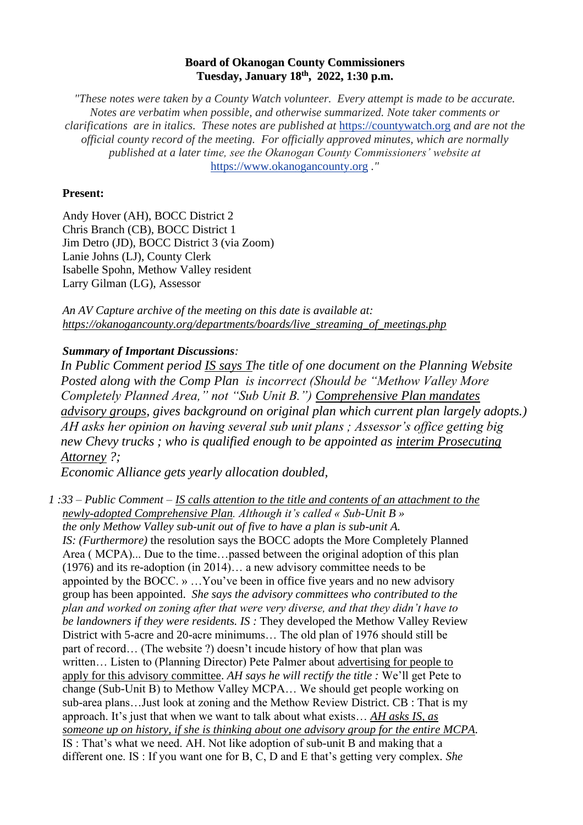## **Board of Okanogan County Commissioners Tuesday, January 18 th , 2022, 1:30 p.m.**

*"These notes were taken by a County Watch volunteer. Every attempt is made to be accurate. Notes are verbatim when possible, and otherwise summarized. Note taker comments or clarifications are in italics. These notes are published at* [https://countywatch.org](https://countywatch.org/) *and are not the official county record of the meeting. For officially approved minutes, which are normally published at a later time, see the Okanogan County Commissioners' website at*  [https://www.okanogancounty.org](https://www.okanogancounty.org/) *."*

## **Present:**

Andy Hover (AH), BOCC District 2 Chris Branch (CB), BOCC District 1 Jim Detro (JD), BOCC District 3 (via Zoom) Lanie Johns (LJ), County Clerk Isabelle Spohn, Methow Valley resident Larry Gilman (LG), Assessor

*An AV Capture archive of the meeting on this date is available at: [https://okanogancounty.org/departments/boards/live\\_streaming\\_of\\_meetings.php](https://okanogancounty.org/departments/boards/live_streaming_of_meetings.php)*

## *Summary of Important Discussions:*

*In Public Comment period IS says The title of one document on the Planning Website Posted along with the Comp Plan is incorrect (Should be "Methow Valley More Completely Planned Area," not "Sub Unit B.") Comprehensive Plan mandates advisory groups, gives background on original plan which current plan largely adopts.) AH asks her opinion on having several sub unit plans ; Assessor's office getting big new Chevy trucks ; who is qualified enough to be appointed as interim Prosecuting Attorney ?;*

*Economic Alliance gets yearly allocation doubled,*

*1 :33 – Public Comment – IS calls attention to the title and contents of an attachment to the newly-adopted Comprehensive Plan. Although it's called « Sub-Unit B » the only Methow Valley sub-unit out of five to have a plan is sub-unit A. IS: (Furthermore)* the resolution says the BOCC adopts the More Completely Planned Area ( MCPA)... Due to the time…passed between the original adoption of this plan (1976) and its re-adoption (in 2014)… a new advisory committee needs to be appointed by the BOCC. » …You've been in office five years and no new advisory group has been appointed. *She says the advisory committees who contributed to the plan and worked on zoning after that were very diverse, and that they didn't have to be landowners if they were residents. IS :* They developed the Methow Valley Review District with 5-acre and 20-acre minimums… The old plan of 1976 should still be part of record… (The website ?) doesn't incude history of how that plan was written… Listen to (Planning Director) Pete Palmer about advertising for people to apply for this advisory committee. *AH says he will rectify the title :* We'll get Pete to change (Sub-Unit B) to Methow Valley MCPA… We should get people working on sub-area plans…Just look at zoning and the Methow Review District. CB : That is my approach. It's just that when we want to talk about what exists… *AH asks IS, as someone up on history, if she is thinking about one advisory group for the entire MCPA.* IS : That's what we need. AH. Not like adoption of sub-unit B and making that a different one. IS : If you want one for B, C, D and E that's getting very complex*. She*